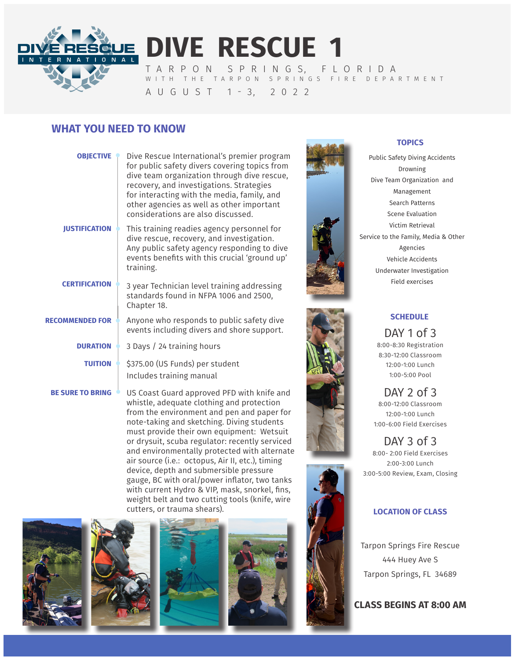

**DIVE RESCUE 1** T A R P O N S P R I N G S, F L O R I D A WITH THE TARPON SPRINGS FIRE DEPARTMENT

# A U G U S T 1 - 3, 2 0 2 2

# **WHAT YOU NEED TO KNOW**

| <b>OBJECTIVE</b>        | Dive Rescue International's premier program<br>for public safety divers covering topics from<br>dive team organization through dive rescue,<br>recovery, and investigations. Strategies<br>for interacting with the media, family, and<br>other agencies as well as other important<br>considerations are also discussed. |
|-------------------------|---------------------------------------------------------------------------------------------------------------------------------------------------------------------------------------------------------------------------------------------------------------------------------------------------------------------------|
| <b>IUSTIFICATION</b>    | This training readies agency personnel for<br>dive rescue, recovery, and investigation.<br>Any public safety agency responding to dive<br>events benefits with this crucial 'ground up'<br>training.                                                                                                                      |
| <b>CERTIFICATION</b>    | 3 year Technician level training addressing<br>standards found in NFPA 1006 and 2500,<br>Chapter 18.                                                                                                                                                                                                                      |
| <b>RECOMMENDED FOR</b>  | Anyone who responds to public safety dive<br>events including divers and shore support.                                                                                                                                                                                                                                   |
| <b>DURATION</b>         | 3 Days / 24 training hours                                                                                                                                                                                                                                                                                                |
| <b>TUITION</b>          | \$375.00 (US Funds) per student<br>Includes training manual                                                                                                                                                                                                                                                               |
| <b>BE SURE TO BRING</b> | US Coast Guard approved PFD with knife and<br>whistle adequate clothing and protection                                                                                                                                                                                                                                    |

whistle, adequate clothing and protection from the environment and pen and paper for note-taking and sketching. Diving students must provide their own equipment: Wetsuit or drysuit, scuba regulator: recently serviced and environmentally protected with alternate air source (i.e.: octopus, Air II, etc.), timing device, depth and submersible pressure gauge, BC with oral/power inflator, two tanks with current Hydro & VIP, mask, snorkel, fins, weight belt and two cutting tools (knife, wire cutters, or trauma shears).











### **TOPICS**

Public Safety Diving Accidents Drowning Dive Team Organization and Management Search Patterns Scene Evaluation Victim Retrieval Service to the Family, Media & Other Agencies Vehicle Accidents Underwater Investigation Field exercises



### **SCHEDULE**

DAY 1 of 3 8:00-8:30 Registration 8:30-12:00 Classroom 12:00-1:00 Lunch 1:00-5:00 Pool

DAY 2 of 3 8:00-12:00 Classroom 12:00-1:00 Lunch 1:00-6:00 Field Exercises

DAY 3 of 3 8:00- 2:00 Field Exercises 2:00-3:00 Lunch 3:00-5:00 Review, Exam, Closing

### **LOCATION OF CLASS**

Tarpon Springs Fire Rescue 444 Huey Ave S Tarpon Springs, FL 34689

**CLASS BEGINS AT 8:00 AM**